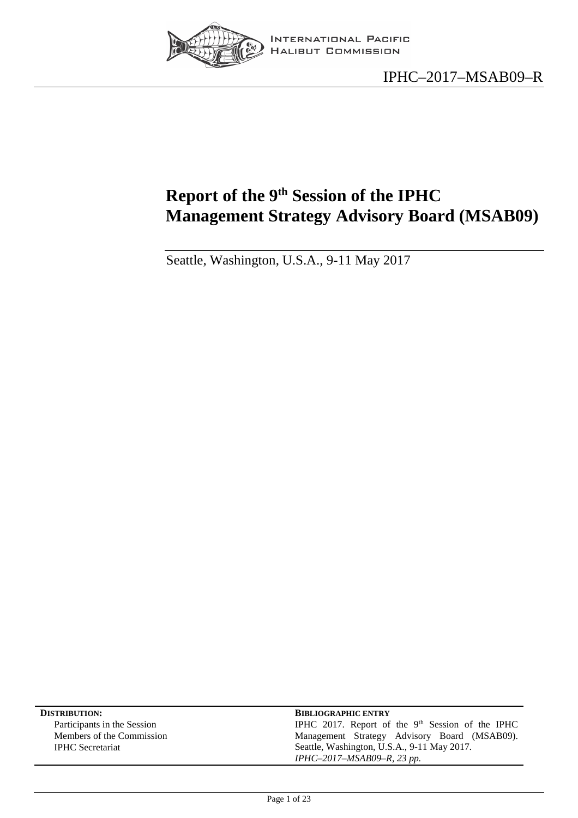

# <span id="page-0-0"></span>**Report of the 9th Session of the IPHC Management Strategy Advisory Board (MSAB09)**

Seattle, Washington, U.S.A., 9-11 May 2017

| <b>DISTRIBUTION:</b>        | <b>BIBLIOGRAPHIC ENTRY</b>                         |
|-----------------------------|----------------------------------------------------|
| Participants in the Session | IPHC 2017. Report of the $9th$ Session of the IPHC |
| Members of the Commission   | Management Strategy Advisory Board (MSAB09).       |
| <b>IPHC</b> Secretariat     | Seattle, Washington, U.S.A., 9-11 May 2017.        |
|                             | IPHC-2017-MSAB09-R, 23 pp.                         |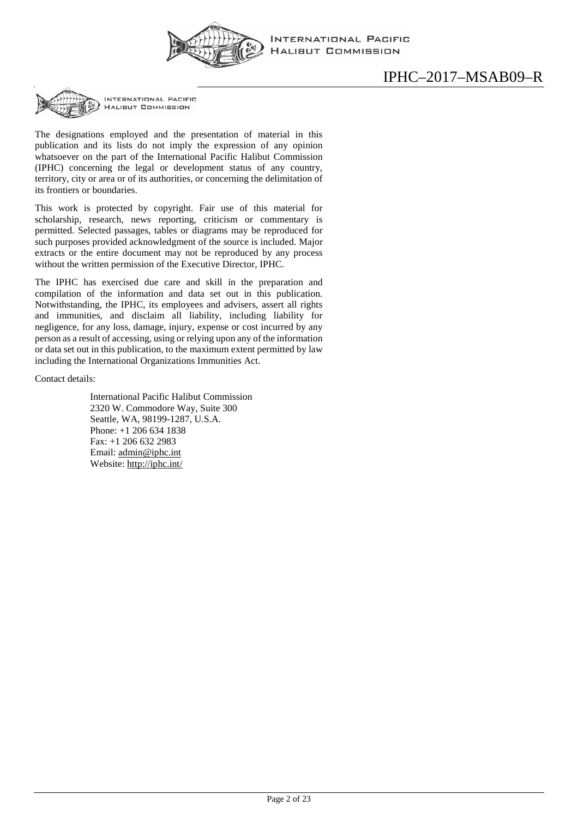

**INTERNATIONAL PACIFIC HALIBUT COMMISSION** 

## IPHC–2017–MSAB09–R



INTERNATIONAL PACIFIC **HALIBUT COMMISSION** 

The designations employed and the presentation of material in this publication and its lists do not imply the expression of any opinion whatsoever on the part of the International Pacific Halibut Commission (IPHC) concerning the legal or development status of any country, territory, city or area or of its authorities, or concerning the delimitation of its frontiers or boundaries.

This work is protected by copyright. Fair use of this material for scholarship, research, news reporting, criticism or commentary is permitted. Selected passages, tables or diagrams may be reproduced for such purposes provided acknowledgment of the source is included. Major extracts or the entire document may not be reproduced by any process without the written permission of the Executive Director, IPHC.

The IPHC has exercised due care and skill in the preparation and compilation of the information and data set out in this publication. Notwithstanding, the IPHC, its employees and advisers, assert all rights and immunities, and disclaim all liability, including liability for negligence, for any loss, damage, injury, expense or cost incurred by any person as a result of accessing, using or relying upon any of the information or data set out in this publication, to the maximum extent permitted by law including the International Organizations Immunities Act.

Contact details:

International Pacific Halibut Commission 2320 W. Commodore Way, Suite 300 Seattle, WA, 98199-1287, U.S.A. Phone: +1 206 634 1838 Fax: +1 206 632 2983 Email: [admin@iphc.int](mailto:admin@iphc.int) Website:<http://iphc.int/>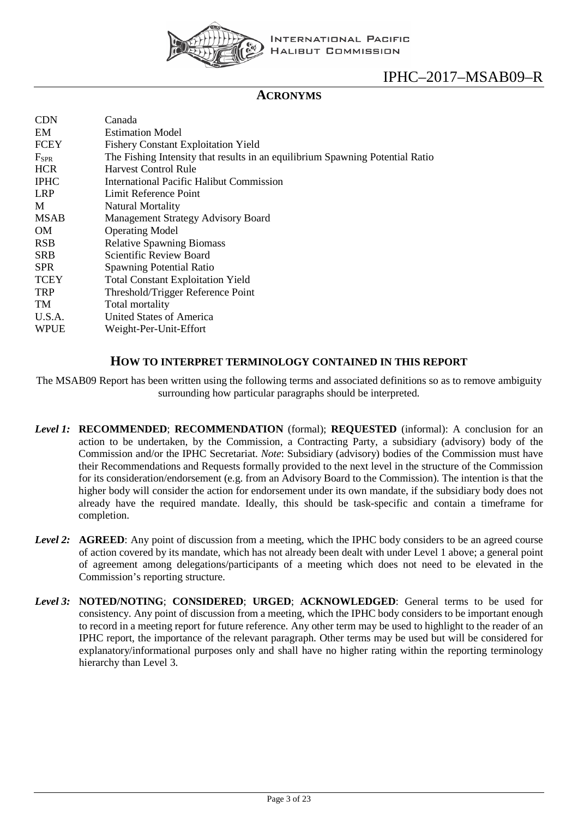

#### **ACRONYMS**

| <b>CDN</b>       | Canada                                                                        |
|------------------|-------------------------------------------------------------------------------|
| EM               | <b>Estimation Model</b>                                                       |
| FCEY             | <b>Fishery Constant Exploitation Yield</b>                                    |
| F <sub>SPR</sub> | The Fishing Intensity that results in an equilibrium Spawning Potential Ratio |
| <b>HCR</b>       | <b>Harvest Control Rule</b>                                                   |
| <b>IPHC</b>      | <b>International Pacific Halibut Commission</b>                               |
| <b>LRP</b>       | Limit Reference Point                                                         |
| M                | <b>Natural Mortality</b>                                                      |
| <b>MSAB</b>      | <b>Management Strategy Advisory Board</b>                                     |
| OM.              | <b>Operating Model</b>                                                        |
| <b>RSB</b>       | <b>Relative Spawning Biomass</b>                                              |
| <b>SRB</b>       | Scientific Review Board                                                       |
| <b>SPR</b>       | <b>Spawning Potential Ratio</b>                                               |
| <b>TCEY</b>      | <b>Total Constant Exploitation Yield</b>                                      |
| <b>TRP</b>       | Threshold/Trigger Reference Point                                             |
| TM               | Total mortality                                                               |
| U.S.A.           | United States of America                                                      |
| WPUE             | Weight-Per-Unit-Effort                                                        |

#### **HOW TO INTERPRET TERMINOLOGY CONTAINED IN THIS REPORT**

The MSAB09 Report has been written using the following terms and associated definitions so as to remove ambiguity surrounding how particular paragraphs should be interpreted.

- *Level 1:* **RECOMMENDED**; **RECOMMENDATION** (formal); **REQUESTED** (informal): A conclusion for an action to be undertaken, by the Commission, a Contracting Party, a subsidiary (advisory) body of the Commission and/or the IPHC Secretariat. *Note*: Subsidiary (advisory) bodies of the Commission must have their Recommendations and Requests formally provided to the next level in the structure of the Commission for its consideration/endorsement (e.g. from an Advisory Board to the Commission). The intention is that the higher body will consider the action for endorsement under its own mandate, if the subsidiary body does not already have the required mandate. Ideally, this should be task-specific and contain a timeframe for completion.
- *Level 2:* **AGREED**: Any point of discussion from a meeting, which the IPHC body considers to be an agreed course of action covered by its mandate, which has not already been dealt with under Level 1 above; a general point of agreement among delegations/participants of a meeting which does not need to be elevated in the Commission's reporting structure.
- *Level 3:* **NOTED/NOTING**; **CONSIDERED**; **URGED**; **ACKNOWLEDGED**: General terms to be used for consistency. Any point of discussion from a meeting, which the IPHC body considers to be important enough to record in a meeting report for future reference. Any other term may be used to highlight to the reader of an IPHC report, the importance of the relevant paragraph. Other terms may be used but will be considered for explanatory/informational purposes only and shall have no higher rating within the reporting terminology hierarchy than Level 3.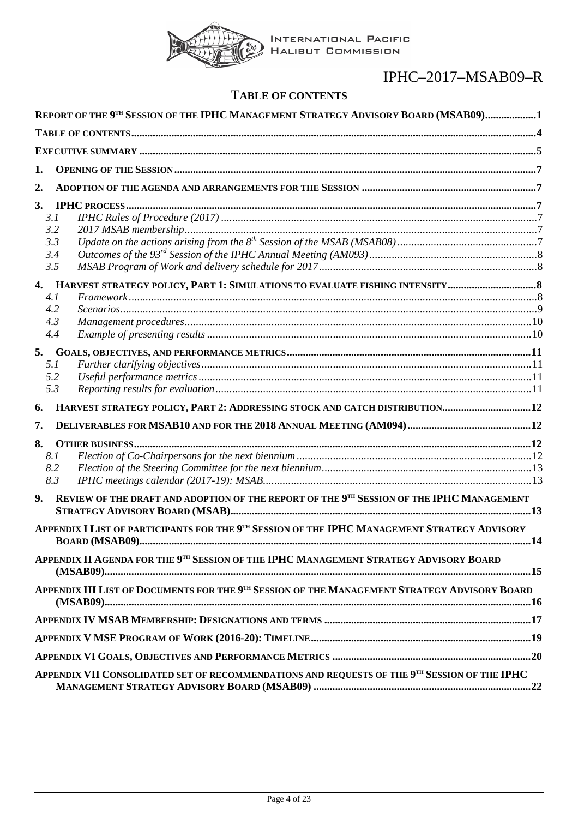

# **TABLE OF CONTENTS**

<span id="page-3-0"></span>

| REPORT OF THE 9TH SESSION OF THE IPHC MANAGEMENT STRATEGY ADVISORY BOARD (MSAB09)1                          |  |
|-------------------------------------------------------------------------------------------------------------|--|
|                                                                                                             |  |
|                                                                                                             |  |
| 1.                                                                                                          |  |
| 2.                                                                                                          |  |
| 3.<br>3.1<br>3.2<br>3.3<br>3.4<br>3.5                                                                       |  |
| 4.1<br>4.2<br>4.3<br>4.4                                                                                    |  |
| 5.<br>5.1<br>5.2<br>5.3<br>HARVEST STRATEGY POLICY, PART 2: ADDRESSING STOCK AND CATCH DISTRIBUTION12<br>6. |  |
| 7.                                                                                                          |  |
| 8.<br>8.1<br>8.2<br>8.3                                                                                     |  |
| REVIEW OF THE DRAFT AND ADOPTION OF THE REPORT OF THE 9TH SESSION OF THE IPHC MANAGEMENT<br>9.              |  |
| APPENDIX I LIST OF PARTICIPANTS FOR THE 9TH SESSION OF THE IPHC MANAGEMENT STRATEGY ADVISORY                |  |
| APPENDIX II AGENDA FOR THE 9TH SESSION OF THE IPHC MANAGEMENT STRATEGY ADVISORY BOARD                       |  |
| APPENDIX III LIST OF DOCUMENTS FOR THE 9TH SESSION OF THE MANAGEMENT STRATEGY ADVISORY BOARD                |  |
|                                                                                                             |  |
|                                                                                                             |  |
|                                                                                                             |  |
| APPENDIX VII CONSOLIDATED SET OF RECOMMENDATIONS AND REQUESTS OF THE 9TH SESSION OF THE IPHC                |  |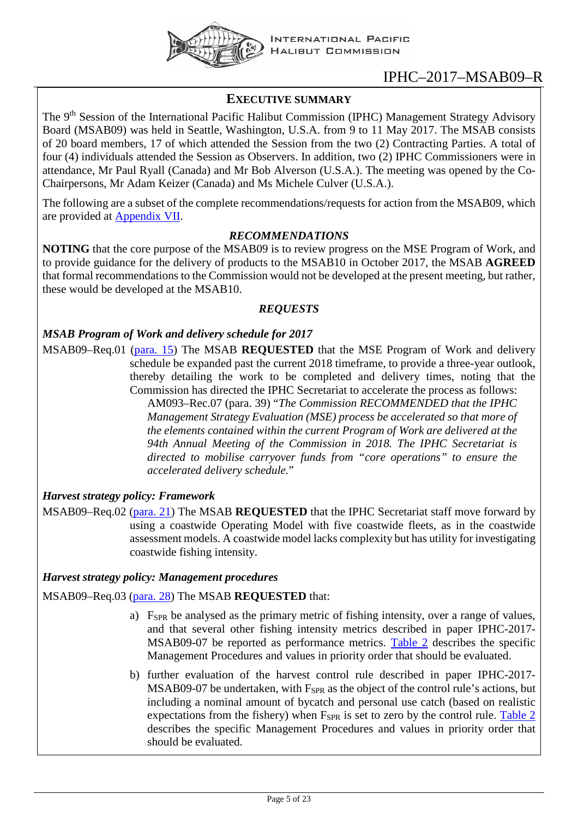

### <span id="page-4-0"></span>**EXECUTIVE SUMMARY**

The 9<sup>th</sup> Session of the International Pacific Halibut Commission (IPHC) Management Strategy Advisory Board (MSAB09) was held in Seattle, Washington, U.S.A. from 9 to 11 May 2017. The MSAB consists of 20 board members, 17 of which attended the Session from the two (2) Contracting Parties. A total of four (4) individuals attended the Session as Observers. In addition, two (2) IPHC Commissioners were in attendance, Mr Paul Ryall (Canada) and Mr Bob Alverson (U.S.A.). The meeting was opened by the Co-Chairpersons, Mr Adam Keizer (Canada) and Ms Michele Culver (U.S.A.).

The following are a subset of the complete recommendations/requests for action from the MSAB09, which are provided at [Appendix VII.](#page-21-0)

#### *RECOMMENDATIONS*

**NOTING** that the core purpose of the MSAB09 is to review progress on the MSE Program of Work, and to provide guidance for the delivery of products to the MSAB10 in October 2017, the MSAB **AGREED** that formal recommendations to the Commission would not be developed at the present meeting, but rather, these would be developed at the MSAB10.

#### *REQUESTS*

#### *MSAB Program of Work and delivery schedule for 2017*

MSAB09–Req.01 [\(para. 15\)](#page-7-4) The MSAB **REQUESTED** that the MSE Program of Work and delivery schedule be expanded past the current 2018 timeframe, to provide a three-year outlook, thereby detailing the work to be completed and delivery times, noting that the Commission has directed the IPHC Secretariat to accelerate the process as follows: AM093–Rec.07 (para. 39) "*The Commission RECOMMENDED that the IPHC Management Strategy Evaluation (MSE) process be accelerated so that more of the elements contained within the current Program of Work are delivered at the 94th Annual Meeting of the Commission in 2018. The IPHC Secretariat is directed to mobilise carryover funds from "core operations" to ensure the accelerated delivery schedule.*"

#### *Harvest strategy policy: Framework*

MSAB09–Req.02 [\(para. 21\)](#page-8-1) The MSAB **REQUESTED** that the IPHC Secretariat staff move forward by using a coastwide Operating Model with five coastwide fleets, as in the coastwide assessment models. A coastwide model lacks complexity but has utility for investigating coastwide fishing intensity.

#### *Harvest strategy policy: Management procedures*

#### MSAB09–Req.03 [\(para. 28\)](#page-9-2) The MSAB **REQUESTED** that:

- a) F<sub>SPR</sub> be analysed as the primary metric of fishing intensity, over a range of values, and that several other fishing intensity metrics described in paper IPHC-2017- MSAB09-07 be reported as performance metrics. [Table 2](#page-9-3) describes the specific Management Procedures and values in priority order that should be evaluated.
- b) further evaluation of the harvest control rule described in paper IPHC-2017-  $MSAB09-07$  be undertaken, with  $F_{SPR}$  as the object of the control rule's actions, but including a nominal amount of bycatch and personal use catch (based on realistic expectations from the fishery) when  $F_{SPR}$  is set to zero by the control rule. Table  $2$ describes the specific Management Procedures and values in priority order that should be evaluated.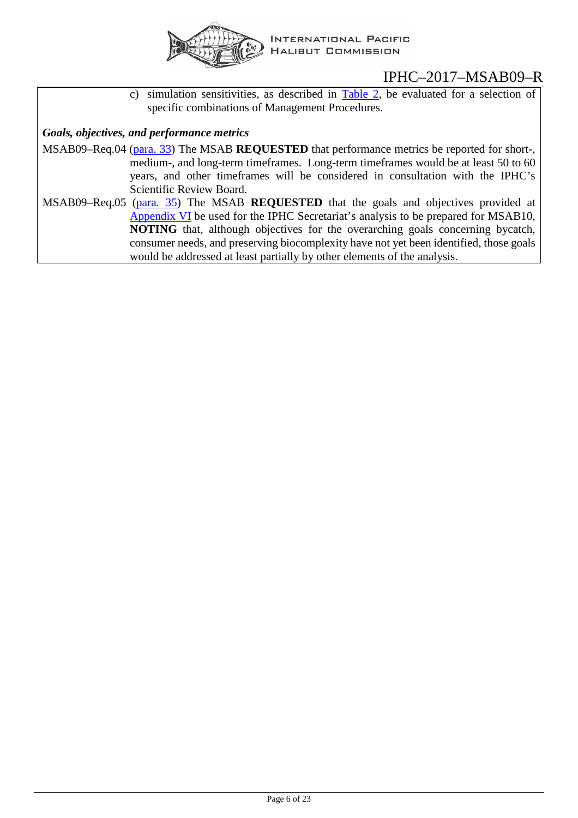

c) simulation sensitivities, as described in [Table 2,](#page-9-3) be evaluated for a selection of specific combinations of Management Procedures.

#### *Goals, objectives, and performance metrics*

- MSAB09–Req.04 [\(para. 33\)](#page-10-4) The MSAB **REQUESTED** that performance metrics be reported for short-, medium-, and long-term timeframes. Long-term timeframes would be at least 50 to 60 years, and other timeframes will be considered in consultation with the IPHC's Scientific Review Board.
- MSAB09–Req.05 [\(para. 35\)](#page-10-5) The MSAB **REQUESTED** that the goals and objectives provided at [Appendix](#page-19-0) VI be used for the IPHC Secretariat's analysis to be prepared for MSAB10, **NOTING** that, although objectives for the overarching goals concerning bycatch, consumer needs, and preserving biocomplexity have not yet been identified, those goals would be addressed at least partially by other elements of the analysis.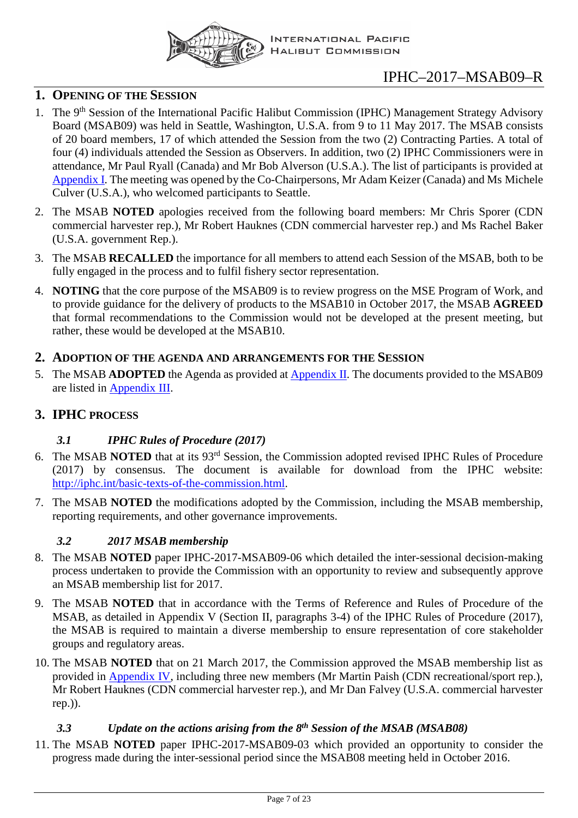

#### <span id="page-6-0"></span>**1. OPENING OF THE SESSION**

- 1. The 9<sup>th</sup> Session of the International Pacific Halibut Commission (IPHC) Management Strategy Advisory Board (MSAB09) was held in Seattle, Washington, U.S.A. from 9 to 11 May 2017. The MSAB consists of 20 board members, 17 of which attended the Session from the two (2) Contracting Parties. A total of four (4) individuals attended the Session as Observers. In addition, two (2) IPHC Commissioners were in attendance, Mr Paul Ryall (Canada) and Mr Bob Alverson (U.S.A.). The list of participants is provided at [Appendix I.](#page-13-0) The meeting was opened by the Co-Chairpersons, Mr Adam Keizer (Canada) and Ms Michele Culver (U.S.A.), who welcomed participants to Seattle.
- 2. The MSAB **NOTED** apologies received from the following board members: Mr Chris Sporer (CDN commercial harvester rep.), Mr Robert Hauknes (CDN commercial harvester rep.) and Ms Rachel Baker (U.S.A. government Rep.).
- 3. The MSAB **RECALLED** the importance for all members to attend each Session of the MSAB, both to be fully engaged in the process and to fulfil fishery sector representation.
- 4. **NOTING** that the core purpose of the MSAB09 is to review progress on the MSE Program of Work, and to provide guidance for the delivery of products to the MSAB10 in October 2017, the MSAB **AGREED** that formal recommendations to the Commission would not be developed at the present meeting, but rather, these would be developed at the MSAB10.

#### <span id="page-6-1"></span>**2. ADOPTION OF THE AGENDA AND ARRANGEMENTS FOR THE SESSION**

5. The MSAB **ADOPTED** the Agenda as provided at [Appendix II.](#page-14-0) The documents provided to the MSAB09 are listed in [Appendix III.](#page-15-0)

### <span id="page-6-3"></span><span id="page-6-2"></span>**3. IPHC PROCESS**

### *3.1 IPHC Rules of Procedure (2017)*

- 6. The MSAB **NOTED** that at its 93rd Session, the Commission adopted revised IPHC Rules of Procedure (2017) by consensus. The document is available for download from the IPHC website: [http://iphc.int/basic-texts-of-the-commission.html.](http://iphc.int/basic-texts-of-the-commission.html)
- 7. The MSAB **NOTED** the modifications adopted by the Commission, including the MSAB membership, reporting requirements, and other governance improvements.

### *3.2 2017 MSAB membership*

- <span id="page-6-4"></span>8. The MSAB **NOTED** paper IPHC-2017-MSAB09-06 which detailed the inter-sessional decision-making process undertaken to provide the Commission with an opportunity to review and subsequently approve an MSAB membership list for 2017.
- 9. The MSAB **NOTED** that in accordance with the Terms of Reference and Rules of Procedure of the MSAB, as detailed in Appendix V (Section II, paragraphs 3-4) of the IPHC Rules of Procedure (2017), the MSAB is required to maintain a diverse membership to ensure representation of core stakeholder groups and regulatory areas.
- 10. The MSAB **NOTED** that on 21 March 2017, the Commission approved the MSAB membership list as provided in [Appendix IV,](#page-16-0) including three new members (Mr Martin Paish (CDN recreational/sport rep.), Mr Robert Hauknes (CDN commercial harvester rep.), and Mr Dan Falvey (U.S.A. commercial harvester rep.)).

### *3.3 Update on the actions arising from the 8th Session of the MSAB (MSAB08)*

<span id="page-6-5"></span>11. The MSAB **NOTED** paper IPHC-2017-MSAB09-03 which provided an opportunity to consider the progress made during the inter-sessional period since the MSAB08 meeting held in October 2016.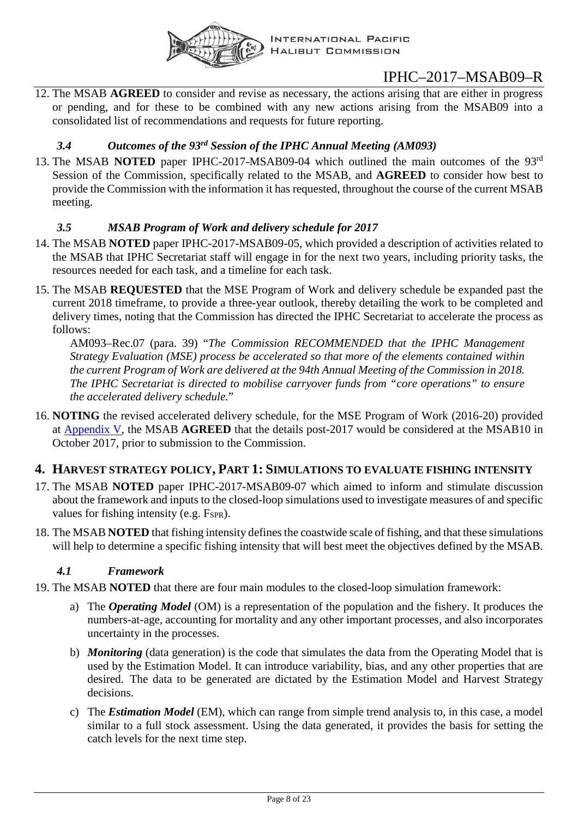

12. The MSAB **AGREED** to consider and revise as necessary, the actions arising that are either in progress or pending, and for these to be combined with any new actions arising from the MSAB09 into a consolidated list of recommendations and requests for future reporting.

### *3.4 Outcomes of the 93rd Session of the IPHC Annual Meeting (AM093)*

<span id="page-7-0"></span>13. The MSAB **NOTED** paper IPHC-2017-MSAB09-04 which outlined the main outcomes of the 93rd Session of the Commission, specifically related to the MSAB, and **AGREED** to consider how best to provide the Commission with the information it has requested, throughout the course of the current MSAB meeting.

### *3.5 MSAB Program of Work and delivery schedule for 2017*

- <span id="page-7-1"></span>14. The MSAB **NOTED** paper IPHC-2017-MSAB09-05, which provided a description of activities related to the MSAB that IPHC Secretariat staff will engage in for the next two years, including priority tasks, the resources needed for each task, and a timeline for each task.
- <span id="page-7-4"></span>15. The MSAB **REQUESTED** that the MSE Program of Work and delivery schedule be expanded past the current 2018 timeframe, to provide a three-year outlook, thereby detailing the work to be completed and delivery times, noting that the Commission has directed the IPHC Secretariat to accelerate the process as follows:

AM093–Rec.07 (para. 39) "*The Commission RECOMMENDED that the IPHC Management Strategy Evaluation (MSE) process be accelerated so that more of the elements contained within the current Program of Work are delivered at the 94th Annual Meeting of the Commission in 2018. The IPHC Secretariat is directed to mobilise carryover funds from "core operations" to ensure the accelerated delivery schedule.*"

16. **NOTING** the revised accelerated delivery schedule, for the MSE Program of Work (2016-20) provided at [Appendix](#page-18-0) V, the MSAB **AGREED** that the details post-2017 would be considered at the MSAB10 in October 2017, prior to submission to the Commission.

### <span id="page-7-2"></span>**4. HARVEST STRATEGY POLICY, PART 1: SIMULATIONS TO EVALUATE FISHING INTENSITY**

- 17. The MSAB **NOTED** paper IPHC-2017-MSAB09-07 which aimed to inform and stimulate discussion about the framework and inputs to the closed-loop simulations used to investigate measures of and specific values for fishing intensity (e.g.  $F_{SPR}$ ).
- 18. The MSAB **NOTED** that fishing intensity defines the coastwide scale of fishing, and that these simulations will help to determine a specific fishing intensity that will best meet the objectives defined by the MSAB.

### *4.1 Framework*

- <span id="page-7-3"></span>19. The MSAB **NOTED** that there are four main modules to the closed-loop simulation framework:
	- a) The *Operating Model* (OM) is a representation of the population and the fishery. It produces the numbers-at-age, accounting for mortality and any other important processes, and also incorporates uncertainty in the processes.
	- b) *Monitoring* (data generation) is the code that simulates the data from the Operating Model that is used by the Estimation Model. It can introduce variability, bias, and any other properties that are desired. The data to be generated are dictated by the Estimation Model and Harvest Strategy decisions.
	- c) The *Estimation Model* (EM), which can range from simple trend analysis to, in this case, a model similar to a full stock assessment. Using the data generated, it provides the basis for setting the catch levels for the next time step.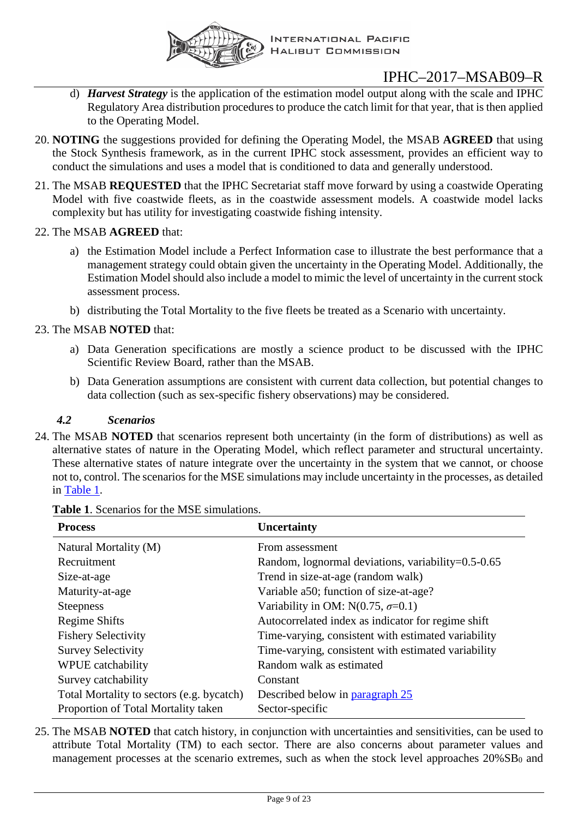

- d) *Harvest Strategy* is the application of the estimation model output along with the scale and IPHC Regulatory Area distribution procedures to produce the catch limit for that year, that is then applied to the Operating Model.
- 20. **NOTING** the suggestions provided for defining the Operating Model, the MSAB **AGREED** that using the Stock Synthesis framework, as in the current IPHC stock assessment, provides an efficient way to conduct the simulations and uses a model that is conditioned to data and generally understood.
- <span id="page-8-1"></span>21. The MSAB **REQUESTED** that the IPHC Secretariat staff move forward by using a coastwide Operating Model with five coastwide fleets, as in the coastwide assessment models. A coastwide model lacks complexity but has utility for investigating coastwide fishing intensity.

#### 22. The MSAB **AGREED** that:

- a) the Estimation Model include a Perfect Information case to illustrate the best performance that a management strategy could obtain given the uncertainty in the Operating Model. Additionally, the Estimation Model should also include a model to mimic the level of uncertainty in the current stock assessment process.
- b) distributing the Total Mortality to the five fleets be treated as a Scenario with uncertainty.

#### 23. The MSAB **NOTED** that:

- a) Data Generation specifications are mostly a science product to be discussed with the IPHC Scientific Review Board, rather than the MSAB.
- b) Data Generation assumptions are consistent with current data collection, but potential changes to data collection (such as sex-specific fishery observations) may be considered.

#### *4.2 Scenarios*

<span id="page-8-0"></span>24. The MSAB **NOTED** that scenarios represent both uncertainty (in the form of distributions) as well as alternative states of nature in the Operating Model, which reflect parameter and structural uncertainty. These alternative states of nature integrate over the uncertainty in the system that we cannot, or choose not to, control. The scenarios for the MSE simulations may include uncertainty in the processes, as detailed in [Table 1.](#page-8-2)

| <b>Process</b>                            | <b>Uncertainty</b>                                  |
|-------------------------------------------|-----------------------------------------------------|
| Natural Mortality (M)                     | From assessment                                     |
| Recruitment                               | Random, lognormal deviations, variability=0.5-0.65  |
| Size-at-age                               | Trend in size-at-age (random walk)                  |
| Maturity-at-age                           | Variable a50; function of size-at-age?              |
| <b>Steepness</b>                          | Variability in OM: N(0.75, $\sigma$ =0.1)           |
| Regime Shifts                             | Autocorrelated index as indicator for regime shift  |
| <b>Fishery Selectivity</b>                | Time-varying, consistent with estimated variability |
| <b>Survey Selectivity</b>                 | Time-varying, consistent with estimated variability |
| <b>WPUE</b> catchability                  | Random walk as estimated                            |
| Survey catchability                       | Constant                                            |
| Total Mortality to sectors (e.g. bycatch) | Described below in paragraph 25                     |
| Proportion of Total Mortality taken       | Sector-specific                                     |

<span id="page-8-2"></span>**Table 1**. Scenarios for the MSE simulations.

<span id="page-8-3"></span>25. The MSAB **NOTED** that catch history, in conjunction with uncertainties and sensitivities, can be used to attribute Total Mortality (TM) to each sector. There are also concerns about parameter values and management processes at the scenario extremes, such as when the stock level approaches  $20\%SB_0$  and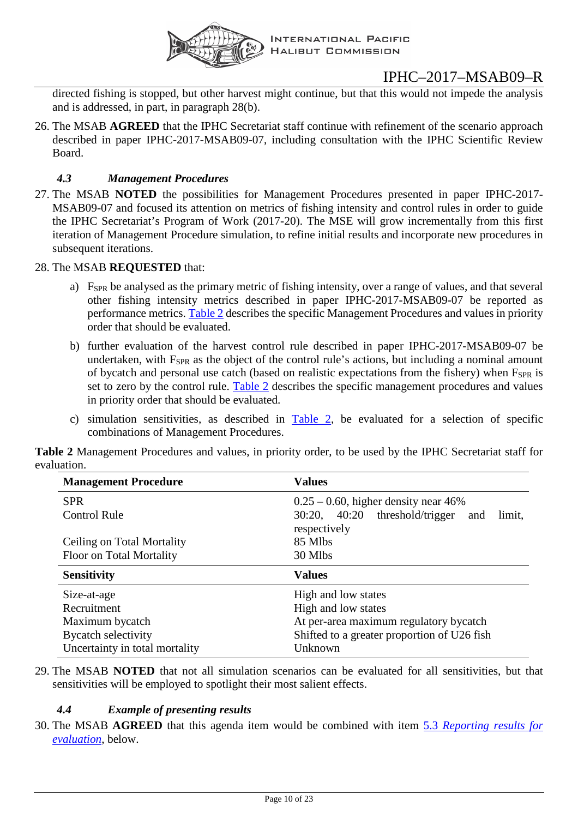

directed fishing is stopped, but other harvest might continue, but that this would not impede the analysis and is addressed, in part, in paragraph 28(b).

26. The MSAB **AGREED** that the IPHC Secretariat staff continue with refinement of the scenario approach described in paper IPHC-2017-MSAB09-07, including consultation with the IPHC Scientific Review Board.

#### *4.3 Management Procedures*

<span id="page-9-0"></span>27. The MSAB **NOTED** the possibilities for Management Procedures presented in paper IPHC-2017- MSAB09-07 and focused its attention on metrics of fishing intensity and control rules in order to guide the IPHC Secretariat's Program of Work (2017-20). The MSE will grow incrementally from this first iteration of Management Procedure simulation, to refine initial results and incorporate new procedures in subsequent iterations.

#### <span id="page-9-2"></span>28. The MSAB **REQUESTED** that:

- a) FSPR be analysed as the primary metric of fishing intensity, over a range of values, and that several other fishing intensity metrics described in paper IPHC-2017-MSAB09-07 be reported as performance metrics. [Table 2](#page-9-3) describes the specific Management Procedures and values in priority order that should be evaluated.
- b) further evaluation of the harvest control rule described in paper IPHC-2017-MSAB09-07 be undertaken, with F<sub>SPR</sub> as the object of the control rule's actions, but including a nominal amount of bycatch and personal use catch (based on realistic expectations from the fishery) when  $F_{SPR}$  is set to zero by the control rule. [Table 2](#page-9-3) describes the specific management procedures and values in priority order that should be evaluated.
- c) simulation sensitivities, as described in [Table 2,](#page-9-3) be evaluated for a selection of specific combinations of Management Procedures.

<span id="page-9-3"></span>**Table 2** Management Procedures and values, in priority order, to be used by the IPHC Secretariat staff for evaluation.

| <b>Management Procedure</b> | <b>Values</b>                                                      |
|-----------------------------|--------------------------------------------------------------------|
| <b>SPR</b>                  | $0.25 - 0.60$ , higher density near 46%                            |
| <b>Control Rule</b>         | 40:20<br>threshold/trigger and<br>30:20,<br>limit,<br>respectively |
| Ceiling on Total Mortality  | 85 Mlbs                                                            |
| Floor on Total Mortality    | 30 Mlbs                                                            |
|                             |                                                                    |
| <b>Sensitivity</b>          | <b>Values</b>                                                      |
| Size-at-age                 | High and low states                                                |
| Recruitment                 | High and low states                                                |
| Maximum bycatch             | At per-area maximum regulatory bycatch                             |
| <b>Bycatch selectivity</b>  | Shifted to a greater proportion of U26 fish                        |

29. The MSAB **NOTED** that not all simulation scenarios can be evaluated for all sensitivities, but that sensitivities will be employed to spotlight their most salient effects.

#### *4.4 Example of presenting results*

<span id="page-9-1"></span>30. The MSAB **AGREED** that this agenda item would be combined with item 5.3 *[Reporting results for](#page-10-6)  [evaluation](#page-10-6)*, below.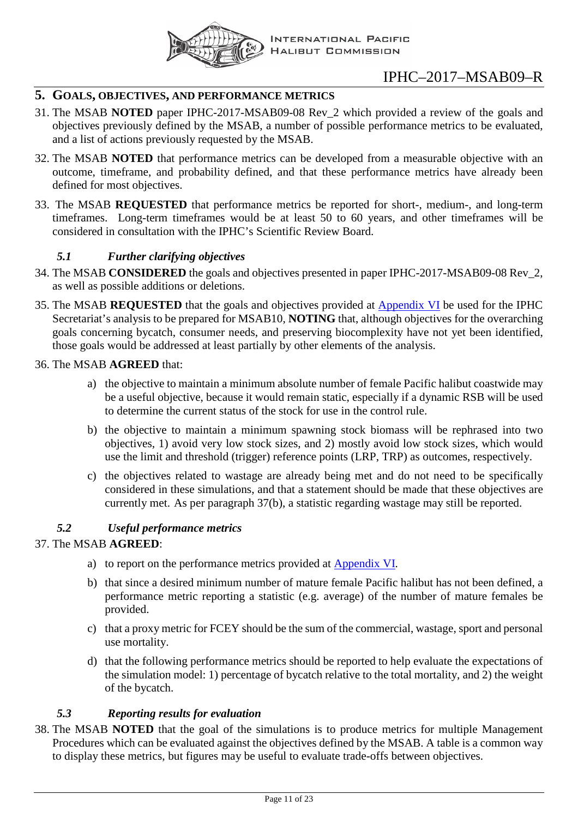

### <span id="page-10-0"></span>**5. GOALS, OBJECTIVES, AND PERFORMANCE METRICS**

- 31. The MSAB **NOTED** paper IPHC-2017-MSAB09-08 Rev\_2 which provided a review of the goals and objectives previously defined by the MSAB, a number of possible performance metrics to be evaluated, and a list of actions previously requested by the MSAB.
- 32. The MSAB **NOTED** that performance metrics can be developed from a measurable objective with an outcome, timeframe, and probability defined, and that these performance metrics have already been defined for most objectives.
- <span id="page-10-4"></span>33. The MSAB **REQUESTED** that performance metrics be reported for short-, medium-, and long-term timeframes. Long-term timeframes would be at least 50 to 60 years, and other timeframes will be considered in consultation with the IPHC's Scientific Review Board.

#### *5.1 Further clarifying objectives*

- <span id="page-10-1"></span>34. The MSAB **CONSIDERED** the goals and objectives presented in paper IPHC-2017-MSAB09-08 Rev\_2, as well as possible additions or deletions.
- <span id="page-10-5"></span>35. The MSAB **REQUESTED** that the goals and objectives provided at [Appendix VI](#page-19-0) be used for the IPHC Secretariat's analysis to be prepared for MSAB10, **NOTING** that, although objectives for the overarching goals concerning bycatch, consumer needs, and preserving biocomplexity have not yet been identified, those goals would be addressed at least partially by other elements of the analysis.

#### 36. The MSAB **AGREED** that:

- a) the objective to maintain a minimum absolute number of female Pacific halibut coastwide may be a useful objective, because it would remain static, especially if a dynamic RSB will be used to determine the current status of the stock for use in the control rule.
- b) the objective to maintain a minimum spawning stock biomass will be rephrased into two objectives, 1) avoid very low stock sizes, and 2) mostly avoid low stock sizes, which would use the limit and threshold (trigger) reference points (LRP, TRP) as outcomes, respectively.
- c) the objectives related to wastage are already being met and do not need to be specifically considered in these simulations, and that a statement should be made that these objectives are currently met. As per paragraph 37(b), a statistic regarding wastage may still be reported.

#### <span id="page-10-2"></span>*5.2 Useful performance metrics*

#### 37. The MSAB **AGREED**:

- a) to report on the performance metrics provided at [Appendix VI.](#page-19-0)
- b) that since a desired minimum number of mature female Pacific halibut has not been defined, a performance metric reporting a statistic (e.g. average) of the number of mature females be provided.
- c) that a proxy metric for FCEY should be the sum of the commercial, wastage, sport and personal use mortality.
- d) that the following performance metrics should be reported to help evaluate the expectations of the simulation model: 1) percentage of bycatch relative to the total mortality, and 2) the weight of the bycatch.

#### *5.3 Reporting results for evaluation*

<span id="page-10-6"></span><span id="page-10-3"></span>38. The MSAB **NOTED** that the goal of the simulations is to produce metrics for multiple Management Procedures which can be evaluated against the objectives defined by the MSAB. A table is a common way to display these metrics, but figures may be useful to evaluate trade-offs between objectives.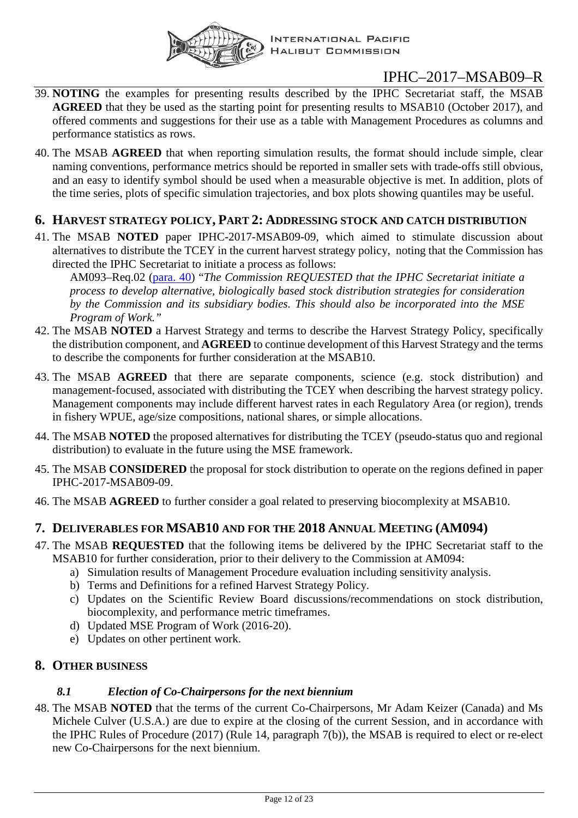

- 39. **NOTING** the examples for presenting results described by the IPHC Secretariat staff, the MSAB **AGREED** that they be used as the starting point for presenting results to MSAB10 (October 2017), and offered comments and suggestions for their use as a table with Management Procedures as columns and performance statistics as rows.
- 40. The MSAB **AGREED** that when reporting simulation results, the format should include simple, clear naming conventions, performance metrics should be reported in smaller sets with trade-offs still obvious, and an easy to identify symbol should be used when a measurable objective is met. In addition, plots of the time series, plots of specific simulation trajectories, and box plots showing quantiles may be useful.

### <span id="page-11-0"></span>**6. HARVEST STRATEGY POLICY, PART 2: ADDRESSING STOCK AND CATCH DISTRIBUTION**

41. The MSAB **NOTED** paper IPHC-2017-MSAB09-09, which aimed to stimulate discussion about alternatives to distribute the TCEY in the current harvest strategy policy, noting that the Commission has directed the IPHC Secretariat to initiate a process as follows:

AM093–Req.02 (para. 40) "*The Commission REQUESTED that the IPHC Secretariat initiate a process to develop alternative, biologically based stock distribution strategies for consideration by the Commission and its subsidiary bodies. This should also be incorporated into the MSE Program of Work."*

- 42. The MSAB **NOTED** a Harvest Strategy and terms to describe the Harvest Strategy Policy, specifically the distribution component, and **AGREED** to continue development of this Harvest Strategy and the terms to describe the components for further consideration at the MSAB10.
- 43. The MSAB **AGREED** that there are separate components, science (e.g. stock distribution) and management-focused, associated with distributing the TCEY when describing the harvest strategy policy. Management components may include different harvest rates in each Regulatory Area (or region), trends in fishery WPUE, age/size compositions, national shares, or simple allocations.
- 44. The MSAB **NOTED** the proposed alternatives for distributing the TCEY (pseudo-status quo and regional distribution) to evaluate in the future using the MSE framework.
- 45. The MSAB **CONSIDERED** the proposal for stock distribution to operate on the regions defined in paper IPHC-2017-MSAB09-09.
- 46. The MSAB **AGREED** to further consider a goal related to preserving biocomplexity at MSAB10.

### <span id="page-11-1"></span>**7. DELIVERABLES FOR MSAB10 AND FOR THE 2018 ANNUAL MEETING (AM094)**

- <span id="page-11-4"></span>47. The MSAB **REQUESTED** that the following items be delivered by the IPHC Secretariat staff to the MSAB10 for further consideration, prior to their delivery to the Commission at AM094:
	- a) Simulation results of Management Procedure evaluation including sensitivity analysis.
	- b) Terms and Definitions for a refined Harvest Strategy Policy.
	- c) Updates on the Scientific Review Board discussions/recommendations on stock distribution,
	- biocomplexity, and performance metric timeframes.
	- d) Updated MSE Program of Work (2016-20).
	- e) Updates on other pertinent work.

### <span id="page-11-3"></span><span id="page-11-2"></span>**8. OTHER BUSINESS**

### *8.1 Election of Co-Chairpersons for the next biennium*

48. The MSAB **NOTED** that the terms of the current Co-Chairpersons, Mr Adam Keizer (Canada) and Ms Michele Culver (U.S.A.) are due to expire at the closing of the current Session, and in accordance with the IPHC Rules of Procedure (2017) (Rule 14, paragraph 7(b)), the MSAB is required to elect or re-elect new Co-Chairpersons for the next biennium.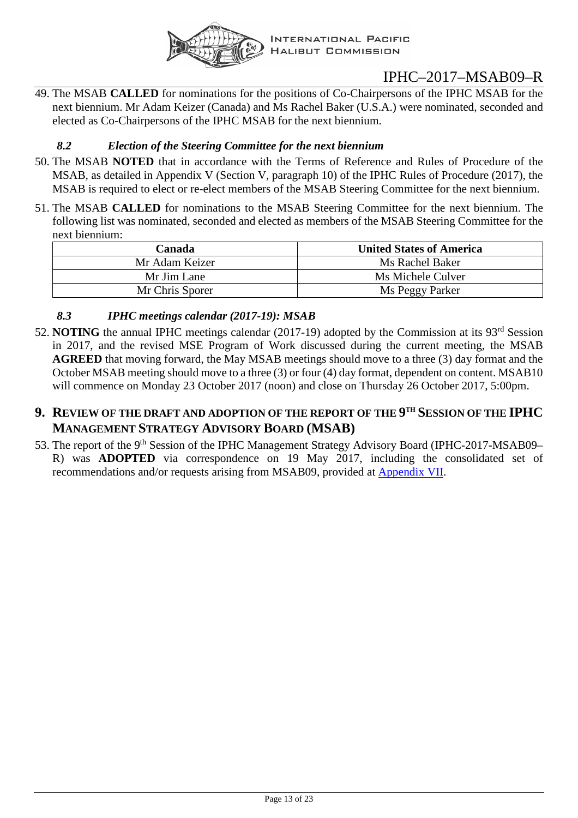

49. The MSAB **CALLED** for nominations for the positions of Co-Chairpersons of the IPHC MSAB for the next biennium. Mr Adam Keizer (Canada) and Ms Rachel Baker (U.S.A.) were nominated, seconded and elected as Co-Chairpersons of the IPHC MSAB for the next biennium.

### *8.2 Election of the Steering Committee for the next biennium*

- <span id="page-12-0"></span>50. The MSAB **NOTED** that in accordance with the Terms of Reference and Rules of Procedure of the MSAB, as detailed in Appendix V (Section V, paragraph 10) of the IPHC Rules of Procedure (2017), the MSAB is required to elect or re-elect members of the MSAB Steering Committee for the next biennium.
- 51. The MSAB **CALLED** for nominations to the MSAB Steering Committee for the next biennium. The following list was nominated, seconded and elected as members of the MSAB Steering Committee for the next biennium:

| Canada          | <b>United States of America</b> |
|-----------------|---------------------------------|
| Mr Adam Keizer  | Ms Rachel Baker                 |
| Mr Jim Lane     | Ms Michele Culver               |
| Mr Chris Sporer | Ms Peggy Parker                 |

### <span id="page-12-1"></span>*8.3 IPHC meetings calendar (2017-19): MSAB*

52. **NOTING** the annual IPHC meetings calendar (2017-19) adopted by the Commission at its 93<sup>rd</sup> Session in 2017, and the revised MSE Program of Work discussed during the current meeting, the MSAB **AGREED** that moving forward, the May MSAB meetings should move to a three (3) day format and the October MSAB meeting should move to a three (3) or four (4) day format, dependent on content. MSAB10 will commence on Monday 23 October 2017 (noon) and close on Thursday 26 October 2017, 5:00pm.

### <span id="page-12-2"></span>**9. REVIEW OF THE DRAFT AND ADOPTION OF THE REPORT OF THE 9TH SESSION OF THE IPHC MANAGEMENT STRATEGY ADVISORY BOARD (MSAB)**

53. The report of the 9<sup>th</sup> Session of the IPHC Management Strategy Advisory Board (IPHC-2017-MSAB09– R) was **ADOPTED** via correspondence on 19 May 2017, including the consolidated set of recommendations and/or requests arising from MSAB09, provided at [Appendix VII.](#page-21-0)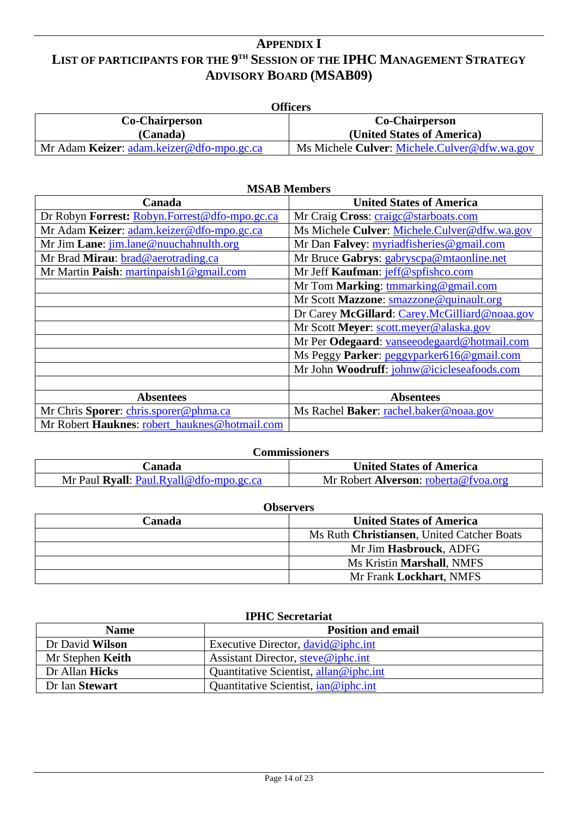### <span id="page-13-0"></span>**APPENDIX I LIST OF PARTICIPANTS FOR THE 9TH SESSION OF THE IPHC MANAGEMENT STRATEGY ADVISORY BOARD (MSAB09)**

| Officers                                  |                                              |
|-------------------------------------------|----------------------------------------------|
| Co-Chairperson                            | <b>Co-Chairperson</b>                        |
| (Canada)                                  | (United States of America)                   |
| Mr Adam Keizer: adam.keizer@dfo-mpo.gc.ca | Ms Michele Culver: Michele.Culver@dfw.wa.gov |

| <b>MSAB</b> Members                           |                                               |
|-----------------------------------------------|-----------------------------------------------|
| Canada                                        | <b>United States of America</b>               |
| Dr Robyn Forrest: Robyn.Forrest@dfo-mpo.gc.ca | Mr Craig Cross: craige@starboats.com          |
| Mr Adam Keizer: adam.keizer@dfo-mpo.gc.ca     | Ms Michele Culver: Michele.Culver@dfw.wa.gov  |
| Mr Jim Lane: jim.lane@nuuchahnulth.org        | Mr Dan Falvey: myriadfisheries@gmail.com      |
| Mr Brad Mirau: brad@aerotrading.ca            | Mr Bruce Gabrys: gabryscpa@mtaonline.net      |
| Mr Martin Paish: martinpaish1@gmail.com       | Mr Jeff Kaufman: jeff@spfishco.com            |
|                                               | Mr Tom Marking: tmmarking@gmail.com           |
|                                               | Mr Scott Mazzone: smazzone@quinault.org       |
|                                               | Dr Carey McGillard: Carey.McGilliard@noaa.gov |
|                                               | Mr Scott Meyer: scott.meyer@alaska.gov        |
|                                               | Mr Per Odegaard: vanseeodegaard@hotmail.com   |
|                                               | Ms Peggy Parker: peggyparker616@gmail.com     |
|                                               | Mr John Woodruff: johnw@icicleseafoods.com    |
|                                               |                                               |
| <b>Absentees</b>                              | <b>Absentees</b>                              |
| Mr Chris Sporer: chris.sporer@phma.ca         | Ms Rachel Baker: rachel.baker@noaa.gov        |
| Mr Robert Hauknes: robert_hauknes@hotmail.com |                                               |

| Commissioners                           |                                      |
|-----------------------------------------|--------------------------------------|
| Canada                                  | <b>United States of America</b>      |
| Mr Paul Ryall: Paul.Ryall@dfo-mpo.gc.ca | Mr Robert Alverson: roberta@fvoa.org |

| <b>Observers</b>                           |  |
|--------------------------------------------|--|
| <b>United States of America</b>            |  |
| Ms Ruth Christiansen, United Catcher Boats |  |
| Mr Jim Hasbrouck, ADFG                     |  |
| Ms Kristin Marshall, NMFS                  |  |
| Mr Frank Lockhart, NMFS                    |  |
|                                            |  |

| <b>IPHC</b> Secretariat |
|-------------------------|
|                         |

| <b>Name</b>      | <b>Position and email</b>              |
|------------------|----------------------------------------|
| Dr David Wilson  | Executive Director, david@iphc.int     |
| Mr Stephen Keith | Assistant Director, steve@iphc.int     |
| Dr Allan Hicks   | Quantitative Scientist, allan@iphc.int |
| Dr Ian Stewart   | Quantitative Scientist, ian@iphc.int   |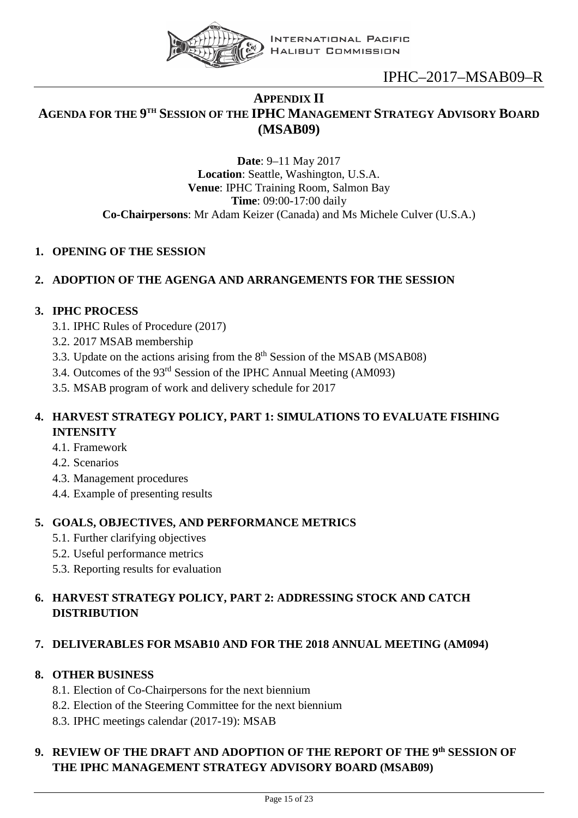

### <span id="page-14-0"></span>**APPENDIX II AGENDA FOR THE 9TH SESSION OF THE IPHC MANAGEMENT STRATEGY ADVISORY BOARD (MSAB09)**

**Date**: 9–11 May 2017 **Location**: Seattle, Washington, U.S.A. **Venue**: IPHC Training Room, Salmon Bay **Time**: 09:00-17:00 daily **Co-Chairpersons**: Mr Adam Keizer (Canada) and Ms Michele Culver (U.S.A.)

### **1. OPENING OF THE SESSION**

### **2. ADOPTION OF THE AGENGA AND ARRANGEMENTS FOR THE SESSION**

### **3. IPHC PROCESS**

- 3.1. IPHC Rules of Procedure (2017)
- 3.2. 2017 MSAB membership
- 3.3. Update on the actions arising from the  $8<sup>th</sup>$  Session of the MSAB (MSAB08)
- 3.4. Outcomes of the 93rd Session of the IPHC Annual Meeting (AM093)
- 3.5. MSAB program of work and delivery schedule for 2017

### **4. HARVEST STRATEGY POLICY, PART 1: SIMULATIONS TO EVALUATE FISHING INTENSITY**

- 4.1. Framework
- 4.2. Scenarios
- 4.3. Management procedures
- 4.4. Example of presenting results

### **5. GOALS, OBJECTIVES, AND PERFORMANCE METRICS**

- 5.1. Further clarifying objectives
- 5.2. Useful performance metrics
- 5.3. Reporting results for evaluation

### **6. HARVEST STRATEGY POLICY, PART 2: ADDRESSING STOCK AND CATCH DISTRIBUTION**

### **7. DELIVERABLES FOR MSAB10 AND FOR THE 2018 ANNUAL MEETING (AM094)**

### **8. OTHER BUSINESS**

- 8.1. Election of Co-Chairpersons for the next biennium
- 8.2. Election of the Steering Committee for the next biennium
- 8.3. IPHC meetings calendar (2017-19): MSAB

### **9. REVIEW OF THE DRAFT AND ADOPTION OF THE REPORT OF THE 9th SESSION OF THE IPHC MANAGEMENT STRATEGY ADVISORY BOARD (MSAB09)**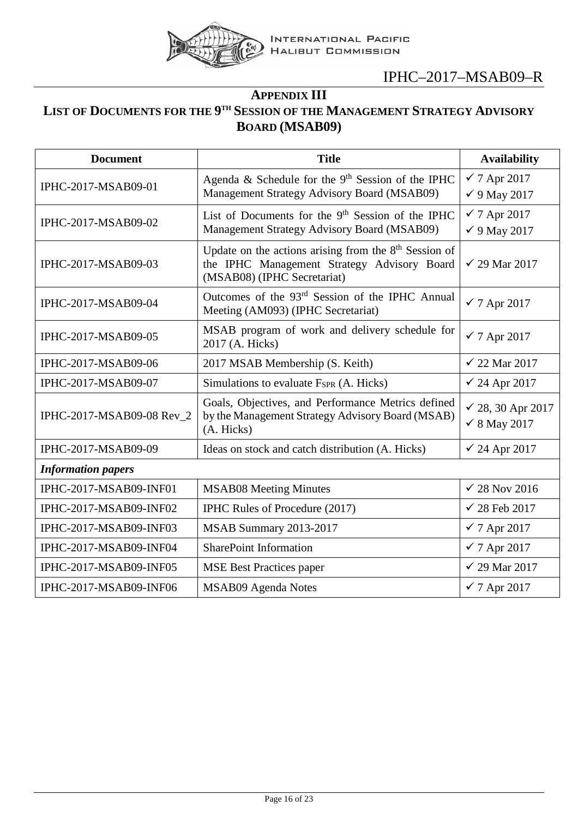

## **APPENDIX III**

## <span id="page-15-0"></span>**LIST OF DOCUMENTS FOR THE 9TH SESSION OF THE MANAGEMENT STRATEGY ADVISORY BOARD (MSAB09)**

| <b>Document</b>           | <b>Title</b>                                                                                                                                    | <b>Availability</b>                                |
|---------------------------|-------------------------------------------------------------------------------------------------------------------------------------------------|----------------------------------------------------|
| IPHC-2017-MSAB09-01       | Agenda & Schedule for the 9 <sup>th</sup> Session of the IPHC<br>Management Strategy Advisory Board (MSAB09)                                    | $\checkmark$ 7 Apr 2017<br>$\checkmark$ 9 May 2017 |
| IPHC-2017-MSAB09-02       | List of Documents for the 9 <sup>th</sup> Session of the IPHC<br>Management Strategy Advisory Board (MSAB09)                                    | $\checkmark$ 7 Apr 2017<br>$\checkmark$ 9 May 2017 |
| IPHC-2017-MSAB09-03       | Update on the actions arising from the 8 <sup>th</sup> Session of<br>the IPHC Management Strategy Advisory Board<br>(MSAB08) (IPHC Secretariat) | $\checkmark$ 29 Mar 2017                           |
| IPHC-2017-MSAB09-04       | Outcomes of the 93 <sup>rd</sup> Session of the IPHC Annual<br>Meeting (AM093) (IPHC Secretariat)                                               | $\checkmark$ 7 Apr 2017                            |
| IPHC-2017-MSAB09-05       | MSAB program of work and delivery schedule for<br>2017 (A. Hicks)                                                                               | $\checkmark$ 7 Apr 2017                            |
| IPHC-2017-MSAB09-06       | 2017 MSAB Membership (S. Keith)                                                                                                                 | $\checkmark$ 22 Mar 2017                           |
| IPHC-2017-MSAB09-07       | Simulations to evaluate $F_{SPR}$ (A. Hicks)                                                                                                    | $\checkmark$ 24 Apr 2017                           |
| IPHC-2017-MSAB09-08 Rev_2 | Goals, Objectives, and Performance Metrics defined<br>by the Management Strategy Advisory Board (MSAB)<br>(A. Hicks)                            | √ 28, 30 Apr 2017<br>$\checkmark$ 8 May 2017       |
| IPHC-2017-MSAB09-09       | Ideas on stock and catch distribution (A. Hicks)                                                                                                | $\checkmark$ 24 Apr 2017                           |
| <b>Information papers</b> |                                                                                                                                                 |                                                    |
| IPHC-2017-MSAB09-INF01    | <b>MSAB08 Meeting Minutes</b>                                                                                                                   | $\sqrt{28}$ Nov 2016                               |
| IPHC-2017-MSAB09-INF02    | IPHC Rules of Procedure (2017)                                                                                                                  | $\checkmark$ 28 Feb 2017                           |
| IPHC-2017-MSAB09-INF03    | MSAB Summary 2013-2017                                                                                                                          | $\checkmark$ 7 Apr 2017                            |
| IPHC-2017-MSAB09-INF04    | <b>SharePoint Information</b>                                                                                                                   | $\checkmark$ 7 Apr 2017                            |
| IPHC-2017-MSAB09-INF05    | <b>MSE Best Practices paper</b>                                                                                                                 | $\checkmark$ 29 Mar 2017                           |
| IPHC-2017-MSAB09-INF06    | MSAB09 Agenda Notes                                                                                                                             | $\checkmark$ 7 Apr 2017                            |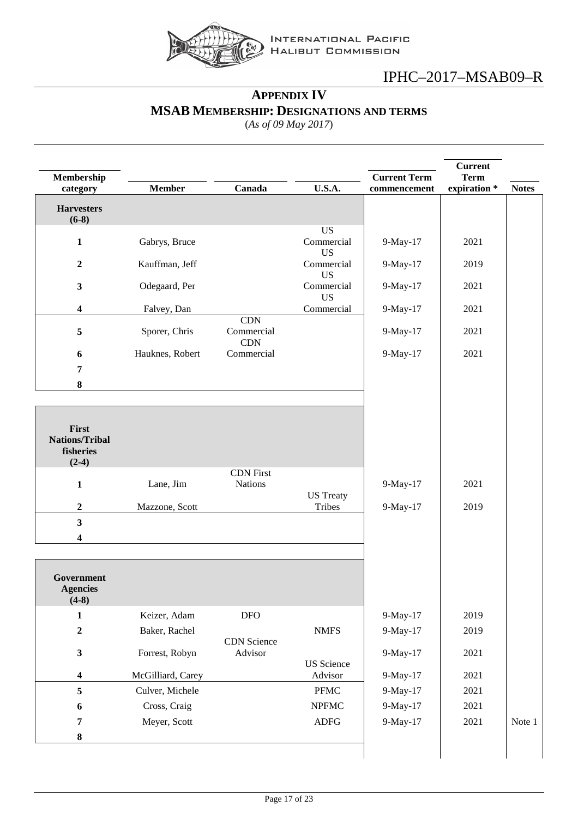

## **APPENDIX IV MSAB MEMBERSHIP: DESIGNATIONS AND TERMS**

(*As of 09 May 2017*)

<span id="page-16-0"></span>

| Membership                                             |                   |                                    |                                      | <b>Current Term</b> | <b>Current</b><br><b>Term</b> |              |
|--------------------------------------------------------|-------------------|------------------------------------|--------------------------------------|---------------------|-------------------------------|--------------|
| category                                               | <b>Member</b>     | Canada                             | U.S.A.                               | commencement        | expiration *                  | <b>Notes</b> |
| <b>Harvesters</b><br>$(6-8)$                           |                   |                                    |                                      |                     |                               |              |
| 1                                                      | Gabrys, Bruce     |                                    | <b>US</b><br>Commercial<br><b>US</b> | 9-May-17            | 2021                          |              |
| $\overline{2}$                                         | Kauffman, Jeff    |                                    | Commercial<br><b>US</b>              | 9-May-17            | 2019                          |              |
| $\mathbf{3}$                                           | Odegaard, Per     |                                    | Commercial<br><b>US</b>              | 9-May-17            | 2021                          |              |
| $\boldsymbol{4}$                                       | Falvey, Dan       |                                    | Commercial                           | 9-May-17            | 2021                          |              |
| 5                                                      | Sporer, Chris     | CDN<br>Commercial<br><b>CDN</b>    |                                      | 9-May-17            | 2021                          |              |
| 6                                                      | Hauknes, Robert   | Commercial                         |                                      | 9-May-17            | 2021                          |              |
| 7                                                      |                   |                                    |                                      |                     |                               |              |
| $\pmb{8}$                                              |                   |                                    |                                      |                     |                               |              |
|                                                        |                   |                                    |                                      |                     |                               |              |
| First<br><b>Nations/Tribal</b><br>fisheries<br>$(2-4)$ |                   |                                    |                                      |                     |                               |              |
| $\mathbf{1}$                                           | Lane, Jim         | <b>CDN</b> First<br><b>Nations</b> |                                      | 9-May-17            | 2021                          |              |
|                                                        |                   |                                    | <b>US</b> Treaty                     |                     |                               |              |
| $\boldsymbol{2}$                                       | Mazzone, Scott    |                                    | Tribes                               | 9-May-17            | 2019                          |              |
| $\overline{\mathbf{3}}$                                |                   |                                    |                                      |                     |                               |              |
| 4                                                      |                   |                                    |                                      |                     |                               |              |
| Government<br><b>Agencies</b><br>$(4-8)$               |                   |                                    |                                      |                     |                               |              |
| $\mathbf{1}$                                           | Keizer, Adam      | <b>DFO</b>                         |                                      | 9-May-17            | 2019                          |              |
| $\boldsymbol{2}$                                       | Baker, Rachel     | <b>CDN</b> Science                 | <b>NMFS</b>                          | 9-May-17            | 2019                          |              |
| $\mathbf{3}$                                           | Forrest, Robyn    | Advisor                            | <b>US</b> Science                    | 9-May-17            | 2021                          |              |
| $\overline{\mathbf{4}}$                                | McGilliard, Carey |                                    | Advisor                              | 9-May-17            | 2021                          |              |
| 5                                                      | Culver, Michele   |                                    | PFMC                                 | 9-May-17            | 2021                          |              |
| 6                                                      | Cross, Craig      |                                    | <b>NPFMC</b>                         | 9-May-17            | 2021                          |              |
| 7                                                      | Meyer, Scott      |                                    | ${\rm ADFG}$                         | 9-May-17            | 2021                          | Note 1       |
| $\pmb{8}$                                              |                   |                                    |                                      |                     |                               |              |
|                                                        |                   |                                    |                                      |                     |                               |              |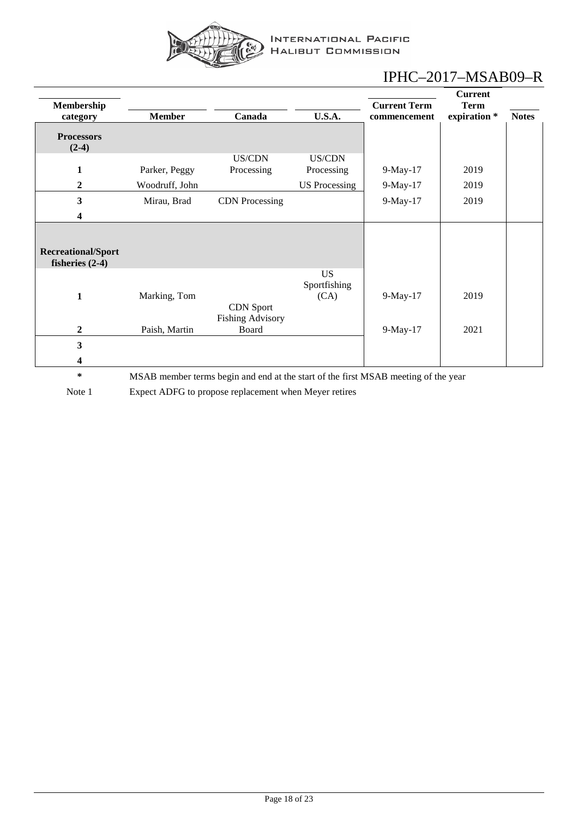

|                                                |                |                                             |                                   |                                     | <b>Current</b>              |              |
|------------------------------------------------|----------------|---------------------------------------------|-----------------------------------|-------------------------------------|-----------------------------|--------------|
| Membership<br>category                         | <b>Member</b>  | Canada                                      | <b>U.S.A.</b>                     | <b>Current Term</b><br>commencement | <b>Term</b><br>expiration * | <b>Notes</b> |
| <b>Processors</b><br>$(2-4)$                   |                |                                             |                                   |                                     |                             |              |
| $\mathbf{1}$                                   | Parker, Peggy  | US/CDN<br>Processing                        | US/CDN<br>Processing              | $9-May-17$                          | 2019                        |              |
| $\boldsymbol{2}$                               | Woodruff, John |                                             | <b>US</b> Processing              | 9-May-17                            | 2019                        |              |
| $\mathbf{3}$                                   | Mirau, Brad    | <b>CDN</b> Processing                       |                                   | 9-May-17                            | 2019                        |              |
| 4                                              |                |                                             |                                   |                                     |                             |              |
| <b>Recreational/Sport</b><br>fisheries $(2-4)$ |                |                                             |                                   |                                     |                             |              |
| $\mathbf{1}$                                   | Marking, Tom   | <b>CDN</b> Sport<br><b>Fishing Advisory</b> | <b>US</b><br>Sportfishing<br>(CA) | 9-May-17                            | 2019                        |              |
| $\boldsymbol{2}$                               | Paish, Martin  | Board                                       |                                   | 9-May-17                            | 2021                        |              |
| $\overline{\mathbf{3}}$                        |                |                                             |                                   |                                     |                             |              |
| 4                                              |                |                                             |                                   |                                     |                             |              |

**\*** MSAB member terms begin and end at the start of the first MSAB meeting of the year

Note 1 Expect ADFG to propose replacement when Meyer retires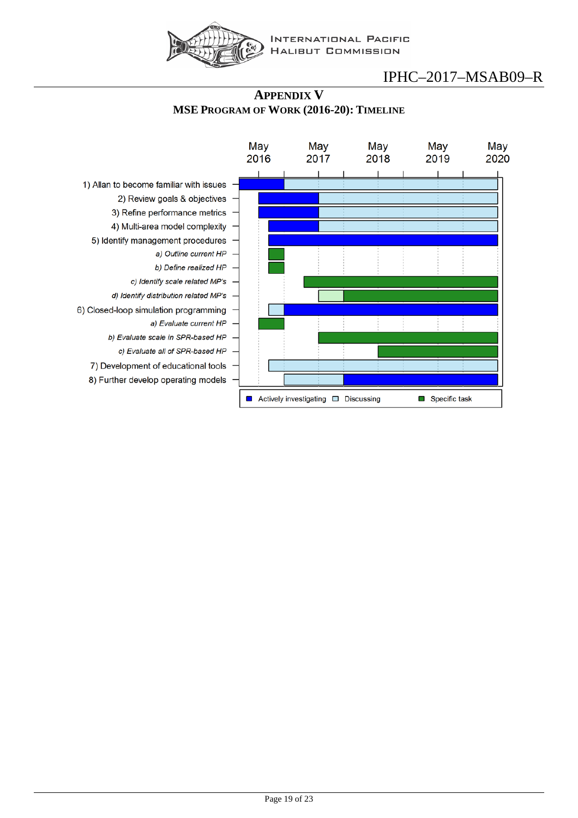

#### **APPENDIX V MSE PROGRAM OF WORK (2016-20): TIMELINE**

<span id="page-18-0"></span>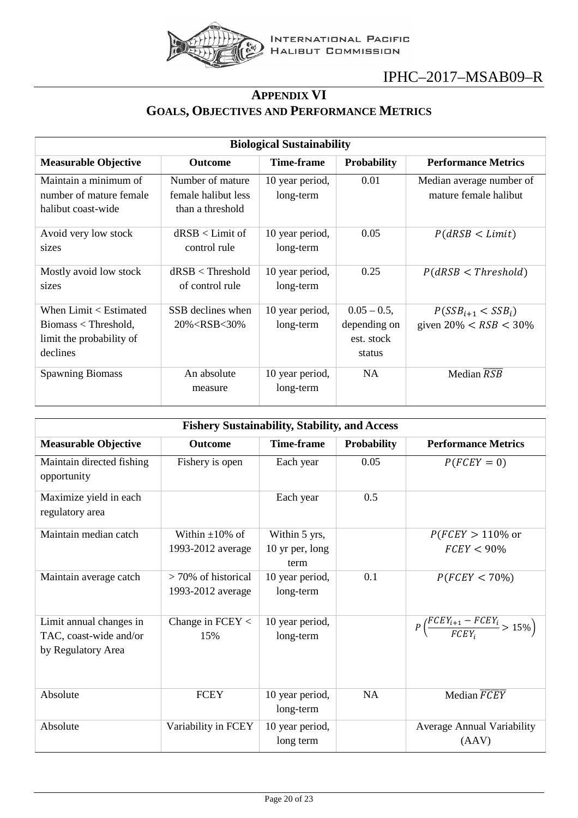

### **APPENDIX VI GOALS, OBJECTIVES AND PERFORMANCE METRICS**

<span id="page-19-0"></span>

| <b>Biological Sustainability</b>                                                         |                                                             |                              |                                                        |                                                     |
|------------------------------------------------------------------------------------------|-------------------------------------------------------------|------------------------------|--------------------------------------------------------|-----------------------------------------------------|
| <b>Measurable Objective</b>                                                              | <b>Outcome</b>                                              | <b>Time-frame</b>            | <b>Probability</b>                                     | <b>Performance Metrics</b>                          |
| Maintain a minimum of<br>number of mature female<br>halibut coast-wide                   | Number of mature<br>female halibut less<br>than a threshold | 10 year period,<br>long-term | 0.01                                                   | Median average number of<br>mature female halibut   |
| Avoid very low stock<br>sizes                                                            | $dRSB <$ Limit of<br>control rule                           | 10 year period,<br>long-term | 0.05                                                   | P(dRSB < Limit)                                     |
| Mostly avoid low stock<br>sizes                                                          | $dRSB <$ Threshold<br>of control rule                       | 10 year period,<br>long-term | 0.25                                                   | P(dRSB < Threshold)                                 |
| When Limit < Estimated<br>$Biomass <$ Threshold,<br>limit the probability of<br>declines | SSB declines when<br>$20\% <$ RSB $<$ 30\%                  | 10 year period,<br>long-term | $0.05 - 0.5$ ,<br>depending on<br>est. stock<br>status | $P(SSB_{i+1} < SSB_i)$<br>given $20\% < RSB < 30\%$ |
| <b>Spawning Biomass</b>                                                                  | An absolute<br>measure                                      | 10 year period,<br>long-term | <b>NA</b>                                              | Median $\overline{RSB}$                             |

| <b>Fishery Sustainability, Stability, and Access</b> |                                            |                              |                    |                                                            |
|------------------------------------------------------|--------------------------------------------|------------------------------|--------------------|------------------------------------------------------------|
| <b>Measurable Objective</b>                          | <b>Outcome</b>                             | <b>Time-frame</b>            | <b>Probability</b> | <b>Performance Metrics</b>                                 |
| Maintain directed fishing<br>opportunity             | Fishery is open                            | Each year                    | 0.05               | $P(FC EY = 0)$                                             |
| Maximize yield in each<br>regulatory area            |                                            | Each year                    | 0.5                |                                                            |
| Maintain median catch                                | Within $\pm 10\%$ of                       | Within 5 yrs,                |                    | $P(FCEY > 110\%$ or                                        |
|                                                      | 1993-2012 average                          | 10 yr per, long<br>term      |                    | $FCEY < 90\%$                                              |
| Maintain average catch                               | $>70\%$ of historical<br>1993-2012 average | 10 year period,<br>long-term | 0.1                | $P(FCEY < 70\%)$                                           |
| Limit annual changes in                              | Change in $FCEY <$                         | 10 year period,              |                    | $P\left(\frac{FCEY_{i+1} - FCEY_i}{FCEY_i} > 15\% \right)$ |
| TAC, coast-wide and/or                               | 15%                                        | long-term                    |                    |                                                            |
| by Regulatory Area                                   |                                            |                              |                    |                                                            |
| Absolute                                             | <b>FCEY</b>                                | 10 year period,<br>long-term | <b>NA</b>          | Median FCEY                                                |
| Absolute                                             | Variability in FCEY                        | 10 year period,              |                    | <b>Average Annual Variability</b>                          |
|                                                      |                                            | long term                    |                    | (AAV)                                                      |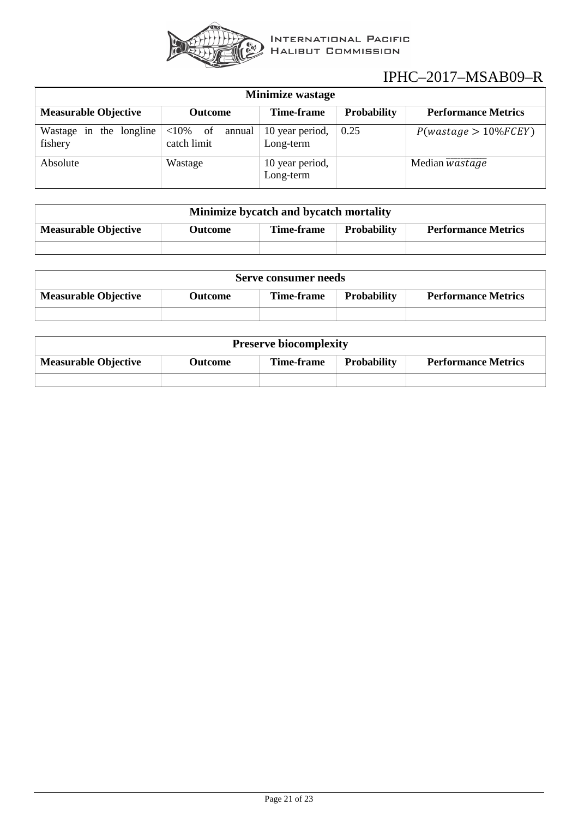

| <b>Minimize wastage</b>               |                                     |                              |                    |                            |
|---------------------------------------|-------------------------------------|------------------------------|--------------------|----------------------------|
| <b>Measurable Objective</b>           | Outcome                             | Time-frame                   | <b>Probability</b> | <b>Performance Metrics</b> |
| Wastage in<br>the longline<br>fishery | $<$ 10% of<br>annual<br>catch limit | 10 year period,<br>Long-term | 0.25               | $P(wastage > 10\%FCEY)$    |
| Absolute                              | Wastage                             | 10 year period,<br>Long-term |                    | Median <i>wastage</i>      |

| Minimize bycatch and bycatch mortality |         |            |                    |                            |
|----------------------------------------|---------|------------|--------------------|----------------------------|
| <b>Measurable Objective</b>            | Outcome | Time-frame | <b>Probability</b> | <b>Performance Metrics</b> |
|                                        |         |            |                    |                            |

| Serve consumer needs        |         |            |                    |                            |
|-----------------------------|---------|------------|--------------------|----------------------------|
| <b>Measurable Objective</b> | Outcome | Time-frame | <b>Probability</b> | <b>Performance Metrics</b> |
|                             |         |            |                    |                            |

| <b>Preserve biocomplexity</b> |         |            |                    |                            |
|-------------------------------|---------|------------|--------------------|----------------------------|
| <b>Measurable Objective</b>   | Outcome | Time-frame | <b>Probability</b> | <b>Performance Metrics</b> |
|                               |         |            |                    |                            |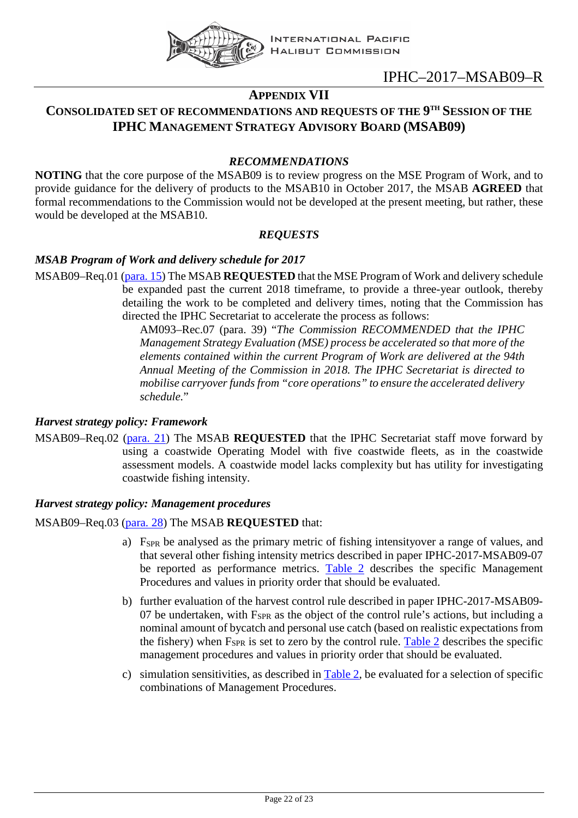

### **APPENDIX VII**

### <span id="page-21-0"></span>**CONSOLIDATED SET OF RECOMMENDATIONS AND REQUESTS OF THE 9TH SESSION OF THE IPHC MANAGEMENT STRATEGY ADVISORY BOARD (MSAB09)**

#### *RECOMMENDATIONS*

**NOTING** that the core purpose of the MSAB09 is to review progress on the MSE Program of Work, and to provide guidance for the delivery of products to the MSAB10 in October 2017, the MSAB **AGREED** that formal recommendations to the Commission would not be developed at the present meeting, but rather, these would be developed at the MSAB10.

#### *REQUESTS*

#### *MSAB Program of Work and delivery schedule for 2017*

MSAB09–Req.01 [\(para. 15\)](#page-7-4) The MSAB **REQUESTED** that the MSE Program of Work and delivery schedule be expanded past the current 2018 timeframe, to provide a three-year outlook, thereby detailing the work to be completed and delivery times, noting that the Commission has directed the IPHC Secretariat to accelerate the process as follows:

> AM093–Rec.07 (para. 39) "*The Commission RECOMMENDED that the IPHC Management Strategy Evaluation (MSE) process be accelerated so that more of the elements contained within the current Program of Work are delivered at the 94th Annual Meeting of the Commission in 2018. The IPHC Secretariat is directed to mobilise carryover funds from "core operations" to ensure the accelerated delivery schedule.*"

#### *Harvest strategy policy: Framework*

MSAB09–Req.02 [\(para. 21\)](#page-8-1) The MSAB **REQUESTED** that the IPHC Secretariat staff move forward by using a coastwide Operating Model with five coastwide fleets, as in the coastwide assessment models. A coastwide model lacks complexity but has utility for investigating coastwide fishing intensity.

#### *Harvest strategy policy: Management procedures*

#### MSAB09–Req.03 [\(para. 28\)](#page-9-2) The MSAB **REQUESTED** that:

- a) F<sub>SPR</sub> be analysed as the primary metric of fishing intensityover a range of values, and that several other fishing intensity metrics described in paper IPHC-2017-MSAB09-07 be reported as performance metrics. [Table 2](#page-9-3) describes the specific Management Procedures and values in priority order that should be evaluated.
- b) further evaluation of the harvest control rule described in paper IPHC-2017-MSAB09- 07 be undertaken, with  $F_{SPR}$  as the object of the control rule's actions, but including a nominal amount of bycatch and personal use catch (based on realistic expectations from the fishery) when  $F<sub>SPR</sub>$  is set to zero by the control rule. [Table 2](#page-9-3) describes the specific management procedures and values in priority order that should be evaluated.
- c) simulation sensitivities, as described in [Table 2,](#page-9-3) be evaluated for a selection of specific combinations of Management Procedures.